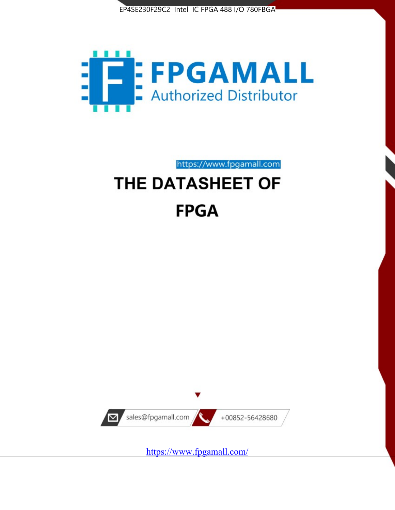



https://www.fpgamall.com

# THE DATASHEET OF **FPGA**



<https://www.fpgamall.com/>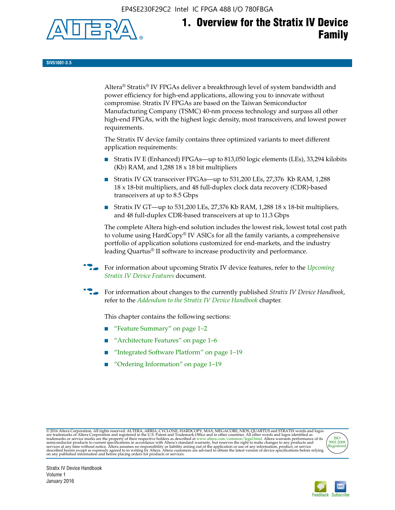EP4SE230F29C2 Intel IC FPGA 488 I/O 780FBGA



**SIV51001-3.5**

Altera® Stratix® IV FPGAs deliver a breakthrough level of system bandwidth and power efficiency for high-end applications, allowing you to innovate without compromise. Stratix IV FPGAs are based on the Taiwan Semiconductor Manufacturing Company (TSMC) 40-nm process technology and surpass all other high-end FPGAs, with the highest logic density, most transceivers, and lowest power requirements.

The Stratix IV device family contains three optimized variants to meet different application requirements:

- Stratix IV E (Enhanced) FPGAs—up to 813,050 logic elements (LEs), 33,294 kilobits (Kb) RAM, and 1,288 18 x 18 bit multipliers
- Stratix IV GX transceiver FPGAs—up to 531,200 LEs, 27,376 Kb RAM, 1,288 18 x 18-bit multipliers, and 48 full-duplex clock data recovery (CDR)-based transceivers at up to 8.5 Gbps
- Stratix IV GT—up to 531,200 LEs, 27,376 Kb RAM, 1,288 18 x 18-bit multipliers, and 48 full-duplex CDR-based transceivers at up to 11.3 Gbps

The complete Altera high-end solution includes the lowest risk, lowest total cost path to volume using HardCopy® IV ASICs for all the family variants, a comprehensive portfolio of application solutions customized for end-markets, and the industry leading Quartus® II software to increase productivity and performance.

f For information about upcoming Stratix IV device features, refer to the *[Upcoming](http://www.altera.com/literature/hb/stratix-iv/uf01001.pdf?GSA_pos=2&WT.oss_r=1&WT.oss=upcoming)  [Stratix IV Device Features](http://www.altera.com/literature/hb/stratix-iv/uf01001.pdf?GSA_pos=2&WT.oss_r=1&WT.oss=upcoming)* document.

f For information about changes to the currently published *Stratix IV Device Handbook*, refer to the *[Addendum to the Stratix IV Device Handbook](http://www.altera.com/literature/hb/stratix-iv/stx4_siv54002.pdf)* chapter.

This chapter contains the following sections:

- "Feature Summary" on page 1–2
- "Architecture Features" on page 1–6
- "Integrated Software Platform" on page 1–19
- "Ordering Information" on page 1–19

@2016 Altera Corporation. All rights reserved. ALTERA, ARRIA, CYCLONE, HARDCOPY, MAX, MEGACORE, NIOS, QUARTUS and STRATIX words and logos are trademarks of Altera Corporation and registered in the U.S. Patent and Trademark



Stratix IV Device Handbook Volume 1 January 2016

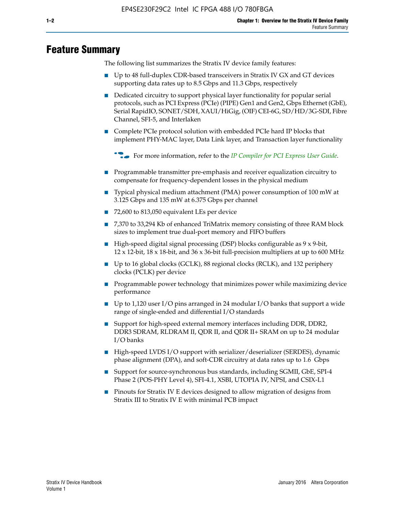# **Feature Summary**

The following list summarizes the Stratix IV device family features:

- Up to 48 full-duplex CDR-based transceivers in Stratix IV GX and GT devices supporting data rates up to 8.5 Gbps and 11.3 Gbps, respectively
- Dedicated circuitry to support physical layer functionality for popular serial protocols, such as PCI Express (PCIe) (PIPE) Gen1 and Gen2, Gbps Ethernet (GbE), Serial RapidIO, SONET/SDH, XAUI/HiGig, (OIF) CEI-6G, SD/HD/3G-SDI, Fibre Channel, SFI-5, and Interlaken
- Complete PCIe protocol solution with embedded PCIe hard IP blocks that implement PHY-MAC layer, Data Link layer, and Transaction layer functionality

**For more information, refer to the** *[IP Compiler for PCI Express User Guide](http://www.altera.com/literature/ug/ug_pci_express.pdf)***.** 

- Programmable transmitter pre-emphasis and receiver equalization circuitry to compensate for frequency-dependent losses in the physical medium
- Typical physical medium attachment (PMA) power consumption of 100 mW at 3.125 Gbps and 135 mW at 6.375 Gbps per channel
- 72,600 to 813,050 equivalent LEs per device
- 7,370 to 33,294 Kb of enhanced TriMatrix memory consisting of three RAM block sizes to implement true dual-port memory and FIFO buffers
- High-speed digital signal processing (DSP) blocks configurable as 9 x 9-bit,  $12 \times 12$ -bit,  $18 \times 18$ -bit, and  $36 \times 36$ -bit full-precision multipliers at up to 600 MHz
- Up to 16 global clocks (GCLK), 88 regional clocks (RCLK), and 132 periphery clocks (PCLK) per device
- Programmable power technology that minimizes power while maximizing device performance
- Up to 1,120 user I/O pins arranged in 24 modular I/O banks that support a wide range of single-ended and differential I/O standards
- Support for high-speed external memory interfaces including DDR, DDR2, DDR3 SDRAM, RLDRAM II, QDR II, and QDR II+ SRAM on up to 24 modular I/O banks
- High-speed LVDS I/O support with serializer/deserializer (SERDES), dynamic phase alignment (DPA), and soft-CDR circuitry at data rates up to 1.6 Gbps
- Support for source-synchronous bus standards, including SGMII, GbE, SPI-4 Phase 2 (POS-PHY Level 4), SFI-4.1, XSBI, UTOPIA IV, NPSI, and CSIX-L1
- Pinouts for Stratix IV E devices designed to allow migration of designs from Stratix III to Stratix IV E with minimal PCB impact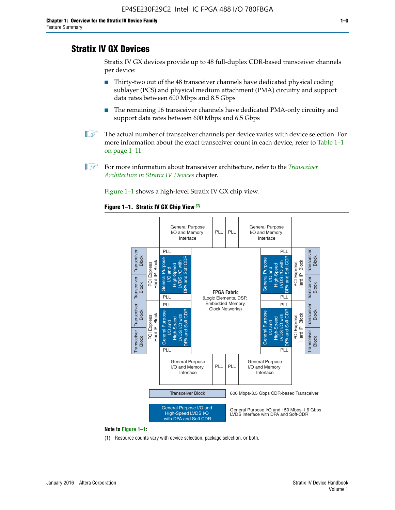# **Stratix IV GX Devices**

Stratix IV GX devices provide up to 48 full-duplex CDR-based transceiver channels per device:

- Thirty-two out of the 48 transceiver channels have dedicated physical coding sublayer (PCS) and physical medium attachment (PMA) circuitry and support data rates between 600 Mbps and 8.5 Gbps
- The remaining 16 transceiver channels have dedicated PMA-only circuitry and support data rates between 600 Mbps and 6.5 Gbps
- **1 The actual number of transceiver channels per device varies with device selection. For** more information about the exact transceiver count in each device, refer to Table 1–1 on page 1–11.
- 1 For more information about transceiver architecture, refer to the *[Transceiver](http://www.altera.com/literature/hb/stratix-iv/stx4_siv52001.pdf)  [Architecture in Stratix IV Devices](http://www.altera.com/literature/hb/stratix-iv/stx4_siv52001.pdf)* chapter.

Figure 1–1 shows a high-level Stratix IV GX chip view.

#### **Figure 1–1. Stratix IV GX Chip View** *(1)*



#### **Note to Figure 1–1:**

(1) Resource counts vary with device selection, package selection, or both.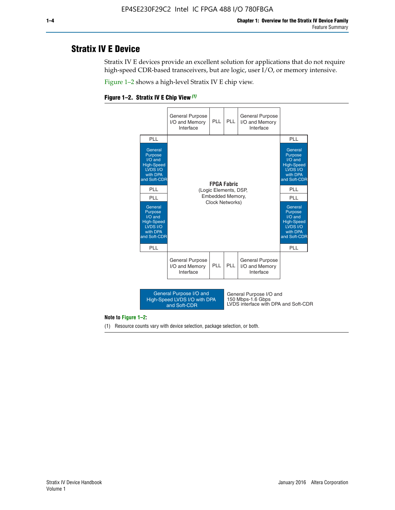# **Stratix IV E Device**

Stratix IV E devices provide an excellent solution for applications that do not require high-speed CDR-based transceivers, but are logic, user I/O, or memory intensive.

Figure 1–2 shows a high-level Stratix IV E chip view.





#### **Note to Figure 1–2:**

(1) Resource counts vary with device selection, package selection, or both.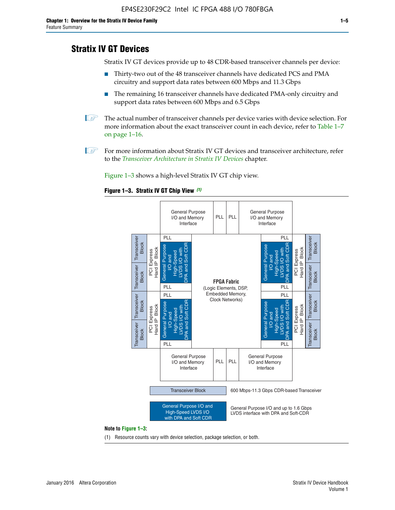# **Stratix IV GT Devices**

Stratix IV GT devices provide up to 48 CDR-based transceiver channels per device:

- Thirty-two out of the 48 transceiver channels have dedicated PCS and PMA circuitry and support data rates between 600 Mbps and 11.3 Gbps
- The remaining 16 transceiver channels have dedicated PMA-only circuitry and support data rates between 600 Mbps and 6.5 Gbps
- **1** The actual number of transceiver channels per device varies with device selection. For more information about the exact transceiver count in each device, refer to Table 1–7 on page 1–16.
- $\mathbb{I}$  For more information about Stratix IV GT devices and transceiver architecture, refer to the *[Transceiver Architecture in Stratix IV Devices](http://www.altera.com/literature/hb/stratix-iv/stx4_siv52001.pdf)* chapter.

Figure 1–3 shows a high-level Stratix IV GT chip view.

#### **Figure 1–3. Stratix IV GT Chip View** *(1)*



(1) Resource counts vary with device selection, package selection, or both.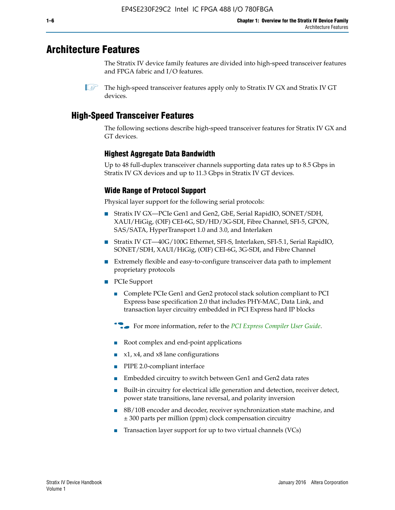# **Architecture Features**

The Stratix IV device family features are divided into high-speed transceiver features and FPGA fabric and I/O features.

 $\mathbb{I}$  The high-speed transceiver features apply only to Stratix IV GX and Stratix IV GT devices.

# **High-Speed Transceiver Features**

The following sections describe high-speed transceiver features for Stratix IV GX and GT devices.

## **Highest Aggregate Data Bandwidth**

Up to 48 full-duplex transceiver channels supporting data rates up to 8.5 Gbps in Stratix IV GX devices and up to 11.3 Gbps in Stratix IV GT devices.

## **Wide Range of Protocol Support**

Physical layer support for the following serial protocols:

- Stratix IV GX—PCIe Gen1 and Gen2, GbE, Serial RapidIO, SONET/SDH, XAUI/HiGig, (OIF) CEI-6G, SD/HD/3G-SDI, Fibre Channel, SFI-5, GPON, SAS/SATA, HyperTransport 1.0 and 3.0, and Interlaken
- Stratix IV GT—40G/100G Ethernet, SFI-S, Interlaken, SFI-5.1, Serial RapidIO, SONET/SDH, XAUI/HiGig, (OIF) CEI-6G, 3G-SDI, and Fibre Channel
- Extremely flexible and easy-to-configure transceiver data path to implement proprietary protocols
- PCIe Support
	- Complete PCIe Gen1 and Gen2 protocol stack solution compliant to PCI Express base specification 2.0 that includes PHY-MAC, Data Link, and transaction layer circuitry embedded in PCI Express hard IP blocks
	- **For more information, refer to the [PCI Express Compiler User Guide](http://www.altera.com/literature/ug/ug_pci_express.pdf).**
	- Root complex and end-point applications
	- $x1, x4,$  and  $x8$  lane configurations
	- PIPE 2.0-compliant interface
	- Embedded circuitry to switch between Gen1 and Gen2 data rates
	- Built-in circuitry for electrical idle generation and detection, receiver detect, power state transitions, lane reversal, and polarity inversion
	- 8B/10B encoder and decoder, receiver synchronization state machine, and ± 300 parts per million (ppm) clock compensation circuitry
	- Transaction layer support for up to two virtual channels (VCs)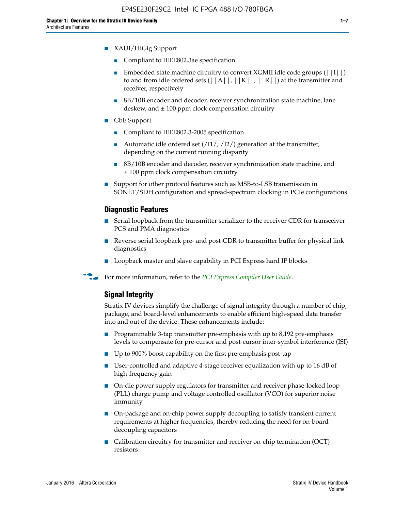- XAUI/HiGig Support
	- Compliant to IEEE802.3ae specification
	- **■** Embedded state machine circuitry to convert XGMII idle code groups  $(|11|)$ to and from idle ordered sets  $(|A|, |K|, |R|)$  at the transmitter and receiver, respectively
	- 8B/10B encoder and decoder, receiver synchronization state machine, lane deskew, and  $\pm 100$  ppm clock compensation circuitry
- GbE Support
	- Compliant to IEEE802.3-2005 specification
	- Automatic idle ordered set  $(111/112/1)$  generation at the transmitter, depending on the current running disparity
	- 8B/10B encoder and decoder, receiver synchronization state machine, and ± 100 ppm clock compensation circuitry
- Support for other protocol features such as MSB-to-LSB transmission in SONET/SDH configuration and spread-spectrum clocking in PCIe configurations

#### **Diagnostic Features**

- Serial loopback from the transmitter serializer to the receiver CDR for transceiver PCS and PMA diagnostics
- Reverse serial loopback pre- and post-CDR to transmitter buffer for physical link diagnostics
- Loopback master and slave capability in PCI Express hard IP blocks
- **For more information, refer to the** *[PCI Express Compiler User Guide](http://www.altera.com/literature/ug/ug_pci_express.pdf)***.**

## **Signal Integrity**

Stratix IV devices simplify the challenge of signal integrity through a number of chip, package, and board-level enhancements to enable efficient high-speed data transfer into and out of the device. These enhancements include:

- Programmable 3-tap transmitter pre-emphasis with up to 8,192 pre-emphasis levels to compensate for pre-cursor and post-cursor inter-symbol interference (ISI)
- Up to 900% boost capability on the first pre-emphasis post-tap
- User-controlled and adaptive 4-stage receiver equalization with up to 16 dB of high-frequency gain
- On-die power supply regulators for transmitter and receiver phase-locked loop (PLL) charge pump and voltage controlled oscillator (VCO) for superior noise immunity
- On-package and on-chip power supply decoupling to satisfy transient current requirements at higher frequencies, thereby reducing the need for on-board decoupling capacitors
- Calibration circuitry for transmitter and receiver on-chip termination (OCT) resistors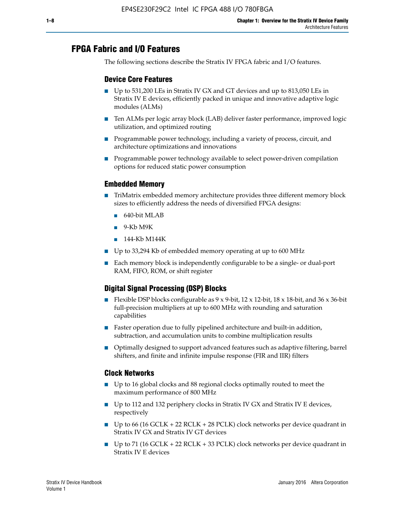# **FPGA Fabric and I/O Features**

The following sections describe the Stratix IV FPGA fabric and I/O features.

## **Device Core Features**

- Up to 531,200 LEs in Stratix IV GX and GT devices and up to 813,050 LEs in Stratix IV E devices, efficiently packed in unique and innovative adaptive logic modules (ALMs)
- Ten ALMs per logic array block (LAB) deliver faster performance, improved logic utilization, and optimized routing
- Programmable power technology, including a variety of process, circuit, and architecture optimizations and innovations
- Programmable power technology available to select power-driven compilation options for reduced static power consumption

## **Embedded Memory**

- TriMatrix embedded memory architecture provides three different memory block sizes to efficiently address the needs of diversified FPGA designs:
	- 640-bit MLAB
	- 9-Kb M9K
	- 144-Kb M144K
- Up to 33,294 Kb of embedded memory operating at up to 600 MHz
- Each memory block is independently configurable to be a single- or dual-port RAM, FIFO, ROM, or shift register

## **Digital Signal Processing (DSP) Blocks**

- Flexible DSP blocks configurable as  $9 \times 9$ -bit,  $12 \times 12$ -bit,  $18 \times 18$ -bit, and  $36 \times 36$ -bit full-precision multipliers at up to 600 MHz with rounding and saturation capabilities
- Faster operation due to fully pipelined architecture and built-in addition, subtraction, and accumulation units to combine multiplication results
- Optimally designed to support advanced features such as adaptive filtering, barrel shifters, and finite and infinite impulse response (FIR and IIR) filters

### **Clock Networks**

- Up to 16 global clocks and 88 regional clocks optimally routed to meet the maximum performance of 800 MHz
- Up to 112 and 132 periphery clocks in Stratix IV GX and Stratix IV E devices, respectively
- Up to 66 (16 GCLK + 22 RCLK + 28 PCLK) clock networks per device quadrant in Stratix IV GX and Stratix IV GT devices
- Up to 71 (16 GCLK + 22 RCLK + 33 PCLK) clock networks per device quadrant in Stratix IV E devices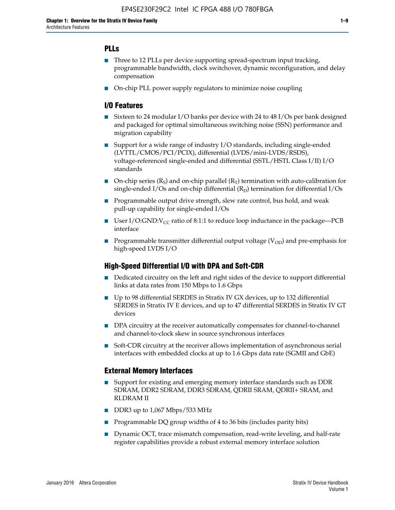## **PLLs**

- Three to 12 PLLs per device supporting spread-spectrum input tracking, programmable bandwidth, clock switchover, dynamic reconfiguration, and delay compensation
- On-chip PLL power supply regulators to minimize noise coupling

## **I/O Features**

- Sixteen to 24 modular I/O banks per device with 24 to 48 I/Os per bank designed and packaged for optimal simultaneous switching noise (SSN) performance and migration capability
- Support for a wide range of industry I/O standards, including single-ended (LVTTL/CMOS/PCI/PCIX), differential (LVDS/mini-LVDS/RSDS), voltage-referenced single-ended and differential (SSTL/HSTL Class I/II) I/O standards
- **O**n-chip series  $(R_S)$  and on-chip parallel  $(R_T)$  termination with auto-calibration for single-ended I/Os and on-chip differential  $(R_D)$  termination for differential I/Os
- Programmable output drive strength, slew rate control, bus hold, and weak pull-up capability for single-ended I/Os
- User I/O:GND: $V_{CC}$  ratio of 8:1:1 to reduce loop inductance in the package—PCB interface
- **■** Programmable transmitter differential output voltage ( $V_{OD}$ ) and pre-emphasis for high-speed LVDS I/O

### **High-Speed Differential I/O with DPA and Soft-CDR**

- Dedicated circuitry on the left and right sides of the device to support differential links at data rates from 150 Mbps to 1.6 Gbps
- Up to 98 differential SERDES in Stratix IV GX devices, up to 132 differential SERDES in Stratix IV E devices, and up to 47 differential SERDES in Stratix IV GT devices
- DPA circuitry at the receiver automatically compensates for channel-to-channel and channel-to-clock skew in source synchronous interfaces
- Soft-CDR circuitry at the receiver allows implementation of asynchronous serial interfaces with embedded clocks at up to 1.6 Gbps data rate (SGMII and GbE)

### **External Memory Interfaces**

- Support for existing and emerging memory interface standards such as DDR SDRAM, DDR2 SDRAM, DDR3 SDRAM, QDRII SRAM, QDRII+ SRAM, and RLDRAM II
- DDR3 up to 1,067 Mbps/533 MHz
- Programmable DQ group widths of 4 to 36 bits (includes parity bits)
- Dynamic OCT, trace mismatch compensation, read-write leveling, and half-rate register capabilities provide a robust external memory interface solution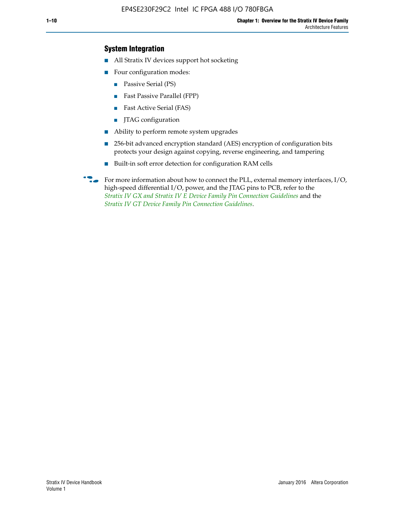## **System Integration**

- All Stratix IV devices support hot socketing
- Four configuration modes:
	- Passive Serial (PS)
	- Fast Passive Parallel (FPP)
	- Fast Active Serial (FAS)
	- JTAG configuration
- Ability to perform remote system upgrades
- 256-bit advanced encryption standard (AES) encryption of configuration bits protects your design against copying, reverse engineering, and tampering
- Built-in soft error detection for configuration RAM cells
- For more information about how to connect the PLL, external memory interfaces,  $I/O$ , high-speed differential I/O, power, and the JTAG pins to PCB, refer to the *[Stratix IV GX and Stratix IV E Device Family Pin Connection Guidelines](http://www.altera.com/literature/dp/stratix4/PCG-01005.pdf)* and the *[Stratix IV GT Device Family Pin Connection Guidelines](http://www.altera.com/literature/dp/stratix4/PCG-01006.pdf)*.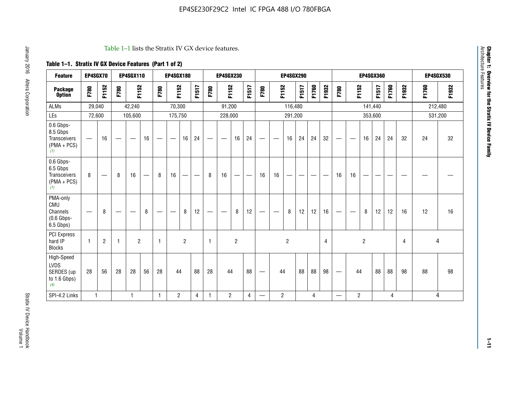#### Table 1–1 lists the Stratix IV GX device features.

## **Table 1–1. Stratix IV GX Device Features (Part 1 of 2)**

| <b>Feature</b>                                                 | EP4SGX70     |                |                                 | <b>EP4SGX110</b>                 |                   |                                | <b>EP4SGX180</b>                |                |       |              | <b>EP4SGX230</b>              |    |                                  |                                 |                          | <b>EP4SGX290</b> |       |       |       |                                 |                                  |                | <b>EP4SGX360</b> |       |       |       | <b>EP4SGX530</b> |
|----------------------------------------------------------------|--------------|----------------|---------------------------------|----------------------------------|-------------------|--------------------------------|---------------------------------|----------------|-------|--------------|-------------------------------|----|----------------------------------|---------------------------------|--------------------------|------------------|-------|-------|-------|---------------------------------|----------------------------------|----------------|------------------|-------|-------|-------|------------------|
| <b>Package</b><br><b>Option</b>                                | F780         | F1152          | F780                            | F1152                            |                   | F780                           | F1152                           |                | F1517 | F780         | F1152                         |    | F1517                            | F780                            | F1152                    |                  | F1517 | F1760 | F1932 | F780                            | F1152                            |                | F1517            | F1760 | F1932 | F1760 | F1932            |
| ALMs                                                           | 29,040       |                |                                 | 42,240                           |                   |                                | 70,300                          |                |       |              | 91,200                        |    |                                  |                                 |                          | 116,480          |       |       |       |                                 |                                  |                | 141,440          |       |       |       | 212,480          |
| LEs                                                            | 72,600       |                |                                 | 105,600                          |                   |                                | 175,750                         |                |       |              | 228,000                       |    |                                  |                                 |                          | 291,200          |       |       |       |                                 |                                  |                | 353,600          |       |       |       | 531,200          |
| 0.6 Gbps-<br>8.5 Gbps<br>Transceivers<br>$(PMA + PCs)$<br>(1)  |              | 16             | $\hspace{0.1mm}-\hspace{0.1mm}$ | $\overbrace{\phantom{12322111}}$ | 16                | $\qquad \qquad \longleftarrow$ | $\hspace{0.1mm}-\hspace{0.1mm}$ | 16             | 24    |              |                               | 16 | 24                               |                                 | $\overline{\phantom{a}}$ | 16               | 24    | 24    | 32    |                                 | $\overbrace{\phantom{aaaaa}}$    | 16             | 24               | 24    | 32    | 24    | 32               |
| 0.6 Gbps-<br>6.5 Gbps<br>Transceivers<br>$(PMA + PCs)$<br>(1)  | 8            |                | 8                               | 16                               | $\hspace{0.05cm}$ | 8                              | 16                              | -              | —     | 8            | 16                            | -- | $\overbrace{\phantom{12322111}}$ | 16                              | 16                       |                  |       |       |       | 16                              | 16                               |                |                  |       |       |       |                  |
| PMA-only<br>CMU<br>Channels<br>$(0.6$ Gbps-<br>6.5 Gbps)       |              | 8              |                                 | __                               | 8                 | $\qquad \qquad \longleftarrow$ | $\overline{\phantom{m}}$        | 8              | 12    |              | $\overbrace{\phantom{aaaaa}}$ | 8  | 12                               | $\hspace{0.1mm}-\hspace{0.1mm}$ | $\overline{\phantom{a}}$ | 8                | 12    | 12    | 16    | $\hspace{0.1mm}-\hspace{0.1mm}$ | $\overbrace{\phantom{12322111}}$ | 8              | 12               | 12    | 16    | 12    | 16               |
| <b>PCI Express</b><br>hard IP<br><b>Blocks</b>                 | 1            | $\overline{c}$ | 1                               | $\overline{2}$                   |                   | $\overline{1}$                 |                                 | $\overline{2}$ |       | $\mathbf{1}$ |                               | 2  |                                  |                                 |                          | $\overline{2}$   |       |       | 4     |                                 |                                  | $\overline{2}$ |                  |       | 4     |       | 4                |
| High-Speed<br><b>LVDS</b><br>SERDES (up<br>to 1.6 Gbps)<br>(4) | 28           | 56             | 28                              | 28                               | 56                | 28                             | 44                              |                | 88    | 28           | 44                            |    | 88                               | $\qquad \qquad -$               | 44                       |                  | 88    | 88    | 98    | $\qquad \qquad \longleftarrow$  | 44                               |                | 88               | 88    | 98    | 88    | 98               |
| SPI-4.2 Links                                                  | $\mathbf{1}$ |                |                                 | 1                                |                   | $\mathbf{1}$                   | $\overline{c}$                  |                | 4     | 1            | $\overline{2}$                |    | 4                                | —                               | $\overline{c}$           |                  |       | 4     |       |                                 | $\overline{c}$                   |                |                  | 4     |       |       | 4                |

**1–11**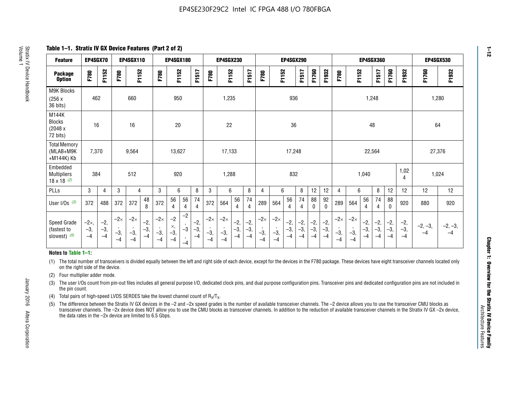**Table 1–1. Stratix IV GX Device Features (Part 2 of 2)**

| <b>Feature</b>                                       | EP4SGX70                |                        |                             | <b>EP4SGX110</b>            |                      |                             | <b>EP4SGX180</b>          |                      |                        |                             | <b>EP4SGX230</b>            |                      |                      |                            |                             | EP4SGX290              |                      |                      |                        | <b>EP4SGX360</b>            |                             |                        |                       | <b>EP4SGX530</b>     |                        |                   |                 |
|------------------------------------------------------|-------------------------|------------------------|-----------------------------|-----------------------------|----------------------|-----------------------------|---------------------------|----------------------|------------------------|-----------------------------|-----------------------------|----------------------|----------------------|----------------------------|-----------------------------|------------------------|----------------------|----------------------|------------------------|-----------------------------|-----------------------------|------------------------|-----------------------|----------------------|------------------------|-------------------|-----------------|
| <b>Package</b><br><b>Option</b>                      | F780                    | F1152                  | F780                        | F1152                       |                      | F780                        | F1152                     |                      | F1517                  | F780                        | F1152                       |                      | F1517                | F780                       | F1152                       |                        | F1517                | F1760                | F1932                  | F780                        | F1152                       |                        | F1517                 | F1760                | F1932                  | F1760             | F1932           |
| M9K Blocks<br>(256x)<br>36 bits)                     | 462                     |                        |                             | 660                         |                      |                             | 950                       |                      |                        |                             | 1,235                       |                      |                      |                            |                             | 936                    |                      |                      |                        |                             |                             | 1,248                  |                       |                      |                        |                   | 1,280           |
| M144K<br><b>Blocks</b><br>(2048 x<br>72 bits)        | 16                      |                        |                             | 16                          |                      |                             | 20                        |                      |                        |                             | 22                          |                      |                      |                            |                             | 36                     |                      |                      |                        |                             |                             | 48                     |                       |                      |                        | 64                |                 |
| <b>Total Memory</b><br>(MLAB+M9K<br>+M144K) Kb       | 7,370                   |                        |                             | 9,564                       |                      |                             | 13,627                    |                      |                        |                             | 17,133                      |                      |                      |                            |                             | 17,248                 |                      |                      |                        |                             |                             | 22,564                 |                       |                      |                        | 27,376            |                 |
| Embedded<br><b>Multipliers</b><br>$18 \times 18$ (2) | 384                     |                        |                             | 512                         |                      |                             | 920                       |                      |                        |                             | 1,288                       |                      |                      |                            |                             | 832                    |                      |                      |                        |                             |                             | 1,040                  |                       |                      | 1,02<br>4              | 1,024             |                 |
| PLLs                                                 | 3                       | $\overline{4}$         | 3                           | 4                           |                      | 3                           | 6                         |                      | 8                      | 3                           | 6                           |                      | 8                    | 4                          | 6                           |                        | 8                    | 12                   | 12                     | 4                           | 6                           |                        | 8                     | 12                   | 12                     | 12                | 12              |
| User $I/Os$ (3)                                      | 372                     | 488                    | 372                         | 372                         | 48<br>8              | 372                         | 56<br>4                   | 56<br>4              | 74<br>4                | 372                         | 564                         | 56<br>$\overline{4}$ | 74<br>$\overline{4}$ | 289                        | 564                         | 56<br>4                | 74<br>4              | 88<br>0              | 92<br>$\mathbf 0$      | 289                         | 564                         | 56<br>4                | 74<br>4               | 88<br>$\mathbf{0}$   | 920                    | 880               | 920             |
| Speed Grade<br>(fastest to<br>slowest) (5)           | $-2x,$<br>$-3,$<br>$-4$ | $-2,$<br>$-3,$<br>$-4$ | $-2\times$<br>$-3,$<br>$-4$ | $-2\times$<br>$-3,$<br>$-4$ | $-2,$<br>-3,<br>$-4$ | $-2\times$<br>$-3,$<br>$-4$ | $-2$<br>×,<br>$-3,$<br>-4 | $-2$<br>$-3$<br>$-4$ | $-2,$<br>$-3,$<br>$-4$ | $-2\times$<br>$-3,$<br>$-4$ | $-2\times$<br>$-3,$<br>$-4$ | $-2,$<br>-3,<br>$-4$ | $-2,$<br>-3,<br>$-4$ | $-2\times$<br>$-3$<br>$-4$ | $-2\times$<br>$-3,$<br>$-4$ | $-2,$<br>$-3,$<br>$-4$ | $-2,$<br>-3,<br>$-4$ | $-2,$<br>-3,<br>$-4$ | $-2,$<br>$-3,$<br>$-4$ | $-2\times$<br>$-3,$<br>$-4$ | $-2\times$<br>$-3,$<br>$-4$ | $-2,$<br>$-3,$<br>$-4$ | $-2,$<br>$-3$<br>$-4$ | $-2,$<br>-3,<br>$-4$ | $-2,$<br>$-3,$<br>$-4$ | $-2, -3,$<br>$-4$ | $-2, -3,$<br>-4 |

#### **Notes to Table 1–1:**

(1) The total number of transceivers is divided equally between the left and right side of each device, except for the devices in the F780 package. These devices have eight transceiver channels located only on the right side of the device.

- (2) Four multiplier adder mode.
- (3) The user I/Os count from pin-out files includes all general purpose I/O, dedicated clock pins, and dual purpose configuration pins. Transceiver pins and dedicated configuration pins are not included in the pin count.
- (4) Total pairs of high-speed LVDS SERDES take the lowest channel count of  $R_X/T_X$ .
- (5) The difference between the Stratix IV GX devices in the –2 and –2x speed grades is the number of available transceiver channels. The –2 device allows you to use the transceiver CMU blocks as transceiver channels. The –2x device does NOT allow you to use the CMU blocks as transceiver channels. In addition to the reduction of available transceiver channels in the Stratix IV GX –2x device, the data rates in the –2x device are limited to 6.5 Gbps.

January 2016 Altera Corporation

Altera Corporation

January 2016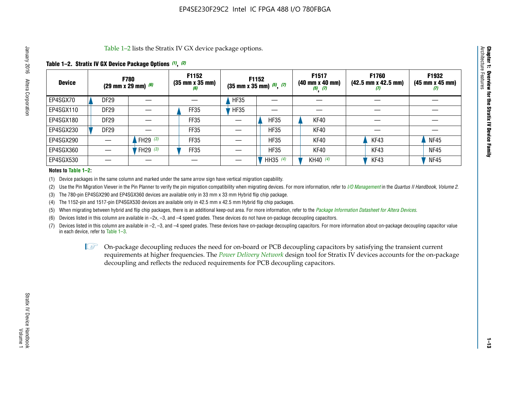Table 1–2 lists the Stratix IV GX device package options.

### **Table 1–2. Stratix IV GX Device Package Options** *(1)***,** *(2)*

| <b>Device</b> |                  | <b>F780</b><br>(29 mm x 29 mm) $(6)$ | F1152<br>$(35 \, \text{mm} \times 35 \, \text{mm})$<br>(6) |             | <b>F1152</b><br>$(35 \text{ mm} \times 35 \text{ mm})$ $(5)$ , $(7)$ | F1517<br>(40 mm x 40 mm)<br>$(5)$ $(7)$ | <b>F1760</b><br>$(42.5 \text{ mm} \times 42.5 \text{ mm})$<br>Ø | F1932<br>$(45 \, \text{mm} \times 45 \, \text{mm})$<br>(7) |
|---------------|------------------|--------------------------------------|------------------------------------------------------------|-------------|----------------------------------------------------------------------|-----------------------------------------|-----------------------------------------------------------------|------------------------------------------------------------|
| EP4SGX70      | <b>DF29</b>      |                                      |                                                            | <b>HF35</b> |                                                                      |                                         |                                                                 |                                                            |
| EP4SGX110     | <b>DF29</b>      |                                      | FF35                                                       | <b>HF35</b> |                                                                      |                                         |                                                                 |                                                            |
| EP4SGX180     | DF <sub>29</sub> |                                      | FF35                                                       |             | <b>HF35</b>                                                          | KF40                                    |                                                                 |                                                            |
| EP4SGX230     | DF <sub>29</sub> |                                      | FF35                                                       |             | <b>HF35</b>                                                          | KF40                                    |                                                                 |                                                            |
| EP4SGX290     |                  | FH29 $(3)$                           | FF35                                                       |             | <b>HF35</b>                                                          | KF40                                    | KF43                                                            | <b>NF45</b>                                                |
| EP4SGX360     |                  | FH29 (3)                             | FF35                                                       |             | <b>HF35</b>                                                          | KF40                                    | KF43                                                            | <b>NF45</b>                                                |
| EP4SGX530     |                  |                                      |                                                            |             | HH35 $(4)$                                                           | KH40 (4)                                | KF43                                                            | <b>NF45</b>                                                |

#### **Notes to Table 1–2:**

(1) Device packages in the same column and marked under the same arrow sign have vertical migration capability.

(2) Use the Pin Migration Viewer in the Pin Planner to verify the pin migration compatibility when migrating devices. For more information, refer to *[I/O Management](http://www.altera.com/literature/hb/qts/qts_qii52013.pdf)* in the *Quartus II Handbook, Volume 2*.

(3) The 780-pin EP4SGX290 and EP4SGX360 devices are available only in 33 mm x 33 mm Hybrid flip chip package.

(4) The 1152-pin and 1517-pin EP4SGX530 devices are available only in 42.5 mm x 42.5 mm Hybrid flip chip packages.

(5) When migrating between hybrid and flip chip packages, there is an additional keep-out area. For more information, refer to the *[Package Information Datasheet for Altera Devices](http://www.altera.com/literature/ds/dspkg.pdf)*.

(6) Devices listed in this column are available in –2x, –3, and –4 speed grades. These devices do not have on-package decoupling capacitors.

(7) Devices listed in this column are available in –2, –3, and –4 speed grades. These devices have on-package decoupling capacitors. For more information about on-package decoupling capacitor value in each device, refer to Table 1–3.

 $\mathbb{L}$ s On-package decoupling reduces the need for on-board or PCB decoupling capacitors by satisfying the transient current requirements at higher frequencies. The *[Power Delivery Network](http://www.altera.com/literature/ug/pdn_tool_stxiv.zip)* design tool for Stratix IV devices accounts for the on-package decoupling and reflects the reduced requirements for PCB decoupling capacitors.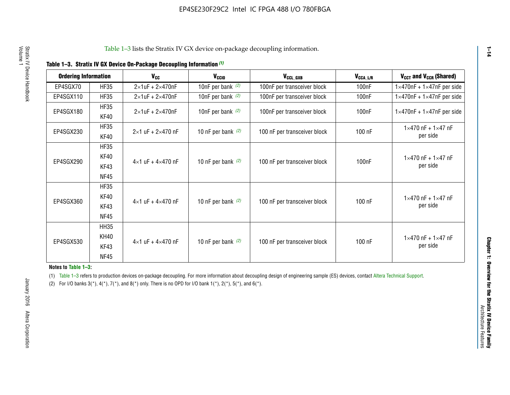|  |  |  | Table 1-3. Stratix IV GX Device On-Package Decoupling Information (1) |
|--|--|--|-----------------------------------------------------------------------|
|--|--|--|-----------------------------------------------------------------------|

| <b>Ordering Information</b> |                     | <b>V<sub>cc</sub></b>               | V <sub>ccio</sub>    | V <sub>CCL GXB</sub>         | V <sub>CCA_L/R</sub> | V <sub>CCT</sub> and V <sub>CCR</sub> (Shared)   |
|-----------------------------|---------------------|-------------------------------------|----------------------|------------------------------|----------------------|--------------------------------------------------|
| EP4SGX70                    | <b>HF35</b>         | $2\times1$ uF + $2\times470$ nF     | 10nF per bank $(2)$  | 100nF per transceiver block  | 100 <sub>n</sub> F   | $1 \times 470$ nF + $1 \times 47$ nF per side    |
| EP4SGX110                   | <b>HF35</b>         | $2\times1$ uF + $2\times470$ nF     | 10nF per bank $(2)$  | 100nF per transceiver block  | 100 <sub>n</sub> F   | $1\times470$ nF + $1\times47$ nF per side        |
| EP4SGX180                   | <b>HF35</b><br>KF40 | $2\times1$ uF + $2\times470$ nF     | 10nF per bank $(2)$  | 100nF per transceiver block  | 100 <sub>n</sub> F   | $1 \times 470$ nF + $1 \times 47$ nF per side    |
| EP4SGX230                   | <b>HF35</b><br>KF40 | $2 \times 1$ uF + $2 \times 470$ nF | 10 nF per bank $(2)$ | 100 nF per transceiver block | 100 nF               | $1 \times 470$ nF + $1 \times 47$ nF<br>per side |
|                             | <b>HF35</b><br>KF40 |                                     |                      |                              |                      | $1 \times 470$ nF + $1 \times 47$ nF             |
| EP4SGX290                   | KF43<br><b>NF45</b> | $4 \times 1$ uF + $4 \times 470$ nF | 10 nF per bank $(2)$ | 100 nF per transceiver block | 100nF                | per side                                         |
|                             | <b>HF35</b><br>KF40 |                                     |                      |                              |                      | $1 \times 470$ nF + $1 \times 47$ nF             |
| EP4SGX360                   | KF43<br><b>NF45</b> | $4 \times 1$ uF + $4 \times 470$ nF | 10 nF per bank $(2)$ | 100 nF per transceiver block | 100 nF               | per side                                         |
|                             | <b>HH35</b>         |                                     |                      |                              |                      |                                                  |
| EP4SGX530                   | <b>KH40</b><br>KF43 | $4 \times 1$ uF + $4 \times 470$ nF | 10 nF per bank $(2)$ | 100 nF per transceiver block | 100 nF               | $1 \times 470$ nF + $1 \times 47$ nF<br>per side |
|                             | <b>NF45</b>         |                                     |                      |                              |                      |                                                  |

**Notes to Table 1–3:**

(1) Table 1-3 refers to production devices on-package decoupling. For more information about decoupling design of engineering sample (ES) devices, contact [Altera Technical Support](http://mysupport.altera.com/eservice/login.asp).

(2) For I/O banks  $3(*)$ ,  $4(*)$ ,  $7(*)$ , and  $8(*)$  only. There is no OPD for I/O bank  $1(*)$ ,  $2(*)$ ,  $5(*)$ , and  $6(*)$ .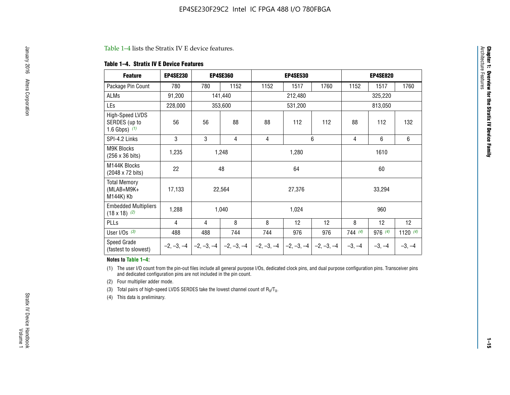#### Table 1–4 lists the Stratix IV E device features.

#### **Table 1–4. Stratix IV E Device Features**

| <b>Feature</b>                                      | <b>EP4SE230</b> |     | <b>EP4SE360</b>                        | <b>EP4SE530</b> |              |              | <b>EP4SE820</b> |          |            |  |
|-----------------------------------------------------|-----------------|-----|----------------------------------------|-----------------|--------------|--------------|-----------------|----------|------------|--|
| Package Pin Count                                   | 780             | 780 | 1152                                   | 1152            | 1517         | 1760         | 1152            | 1517     | 1760       |  |
| ALMs                                                | 91,200          |     | 141,440                                |                 | 212,480      |              | 325,220         |          |            |  |
| LEs                                                 | 228,000         |     | 353,600                                |                 | 531,200      |              | 813,050         |          |            |  |
| High-Speed LVDS<br>SERDES (up to<br>1.6 Gbps) $(1)$ | 56              | 56  | 88                                     | 88              | 112          | 112          | 88              | 112      | 132        |  |
| SPI-4.2 Links                                       | 3               | 3   | 4                                      | 4               |              | 6            | 4               | 6        | 6          |  |
| <b>M9K Blocks</b><br>(256 x 36 bits)                | 1,235           |     | 1,280<br>1,248                         |                 |              |              | 1610            |          |            |  |
| M144K Blocks<br>(2048 x 72 bits)                    | 22              |     | 48                                     | 64              |              |              | 60              |          |            |  |
| <b>Total Memory</b><br>$(MLAB+M9K+$<br>M144K) Kb    | 17,133          |     | 22,564                                 | 27,376          |              |              |                 | 33,294   |            |  |
| <b>Embedded Multipliers</b><br>$(18 \times 18)$ (2) | 1,288           |     | 1,040                                  |                 | 1,024        |              |                 | 960      |            |  |
| PLLs                                                | 4               | 4   | 8                                      | 8               | 12           | 12           | 8               | 12       | 12         |  |
| User I/Os $(3)$                                     | 488             | 488 | 744                                    | 744             | 976          | 976          | 744(4)          | 976 (4)  | 1120 $(4)$ |  |
| Speed Grade<br>(fastest to slowest)                 |                 |     | $-2, -3, -4$ $-2, -3, -4$ $-2, -3, -4$ | $-2, -3, -4$    | $-2, -3, -4$ | $-2, -3, -4$ | $-3, -4$        | $-3, -4$ | $-3, -4$   |  |

#### **Notes to Table 1–4:**

(1) The user I/O count from the pin-out files include all general purpose I/Os, dedicated clock pins, and dual purpose configuration pins. Transceiver pins and dedicated configuration pins are not included in the pin count.

(2) Four multiplier adder mode.

(3) Total pairs of high-speed LVDS SERDES take the lowest channel count of  $R_X/T_X$ .

(4) This data is preliminary.

**Chapter 1: Overview for the Stratix IV Device Family**

**Chapter 1: Overview for the Stratix IV Device Family**<br>Architecture Faatures

Architecture Features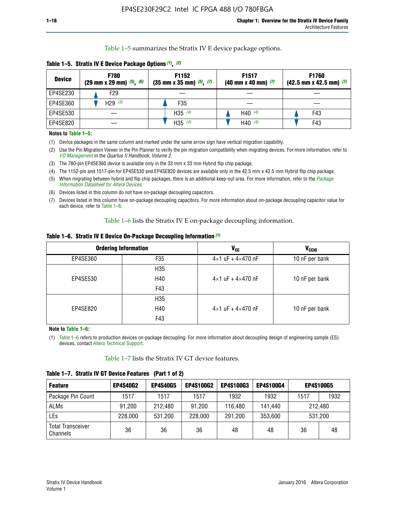Table 1–5 summarizes the Stratix IV E device package options.

| <b>Device</b> | <b>F780</b><br>$(29 \text{ mm} \times 29 \text{ mm})$ $(5)$ , $(6)$ | F1152<br>$(35 \text{ mm} \times 35 \text{ mm})$ $(5)$ $(7)$ | F <sub>1517</sub><br>$(40 \text{ mm} \times 40 \text{ mm})$ (7) | <b>F1760</b><br>$(42.5$ mm x 42.5 mm) $(7)$ |  |  |
|---------------|---------------------------------------------------------------------|-------------------------------------------------------------|-----------------------------------------------------------------|---------------------------------------------|--|--|
| EP4SE230      | F <sub>29</sub>                                                     |                                                             |                                                                 |                                             |  |  |
| EP4SE360      | H29 $(3)$                                                           | F35                                                         |                                                                 |                                             |  |  |
| EP4SE530      |                                                                     | H35 $(4)$                                                   | H40 $(4)$                                                       | F43                                         |  |  |
| EP4SE820      |                                                                     | H35 $(4)$                                                   | H40 $(4)$                                                       | F43                                         |  |  |

**Table 1–5. Stratix IV E Device Package Options** *(1)***,** *(2)*

#### **Notes to Table 1–5:**

(1) Device packages in the same column and marked under the same arrow sign have vertical migration capability.

(2) Use the Pin Migration Viewer in the Pin Planner to verify the pin migration compatibility when migrating devices. For more information, refer to *[I/O Management](http://www.altera.com/literature/hb/qts/qts_qii52013.pdf)* in the *Quartus II Handbook, Volume 2*.

(3) The 780-pin EP4SE360 device is available only in the 33 mm x 33 mm Hybrid flip chip package.

(4) The 1152-pin and 1517-pin for EP4SE530 and EP4SE820 devices are available only in the 42.5 mm x 42.5 mm Hybrid flip chip package.

(5) When migrating between hybrid and flip chip packages, there is an additional keep-out area. For more information, refer to the *[Package](http://www.altera.com/literature/ds/dspkg.pdf)  [Information Datasheet for Altera Devices](http://www.altera.com/literature/ds/dspkg.pdf)*.

(6) Devices listed in this column do not have on-package decoupling capacitors.

(7) Devices listed in this column have on-package decoupling capacitors. For more information about on-package decoupling capacitor value for each device, refer to Table 1–6.

Table 1–6 lists the Stratix IV E on-package decoupling information.

| Table 1–6. Stratix IV E Device On-Package Decoupling Information (1) |  |  |  |  |
|----------------------------------------------------------------------|--|--|--|--|
|----------------------------------------------------------------------|--|--|--|--|

|          | <b>Ordering Information</b> | V <sub>cc</sub>                     | <b>V<sub>CCIO</sub></b> |  |  |
|----------|-----------------------------|-------------------------------------|-------------------------|--|--|
| EP4SE360 | F35                         | $4 \times 1$ uF + $4 \times 470$ nF | 10 nF per bank          |  |  |
|          | H <sub>35</sub>             |                                     |                         |  |  |
| EP4SE530 | H40                         | $4 \times 1$ uF + $4 \times 470$ nF | 10 nF per bank          |  |  |
|          | F43                         |                                     |                         |  |  |
|          | H <sub>35</sub>             |                                     |                         |  |  |
| EP4SE820 | H40                         | $4 \times 1$ uF + $4 \times 470$ nF | 10 nF per bank          |  |  |
|          | F43                         |                                     |                         |  |  |

**Note to Table 1–6:**

(1) Table 1–6 refers to production devices on-package decoupling. For more information about decoupling design of engineering sample (ES) devices, contact [Altera Technical Support](http://mysupport.altera.com/eservice/login.asp).

Table 1–7 lists the Stratix IV GT device features.

| <b>Feature</b>                       | <b>EP4S40G2</b> | <b>EP4S40G5</b> | <b>EP4S100G2</b> | <b>EP4S100G3</b> | <b>EP4S100G4</b> | <b>EP4S100G5</b> |    |
|--------------------------------------|-----------------|-----------------|------------------|------------------|------------------|------------------|----|
| Package Pin Count                    | 1517            | 1517            | 1517             | 1932             | 1932             | 1932<br>1517     |    |
| <b>ALMs</b>                          | 91,200          | 212,480         | 91,200           | 116,480          | 141,440          | 212.480          |    |
| LEs                                  | 228,000         | 531,200         | 228,000          | 291,200          | 353,600          | 531,200          |    |
| <b>Total Transceiver</b><br>Channels | 36              | 36              | 36               | 48               | 48               | 36               | 48 |

**Table 1–7. Stratix IV GT Device Features (Part 1 of 2)**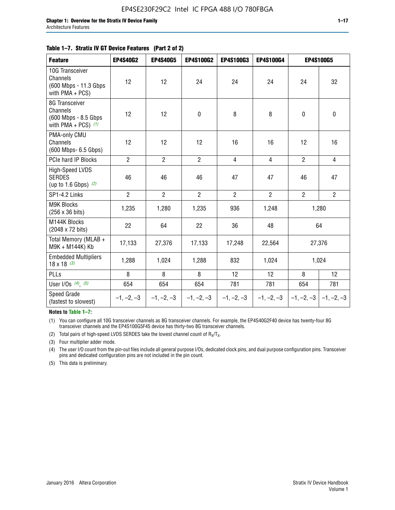#### **Table 1–7. Stratix IV GT Device Features (Part 2 of 2)**

| <b>Feature</b>                                                              | <b>EP4S40G2</b> | <b>EP4S40G5</b> | <b>EP4S100G2</b> | <b>EP4S100G3</b> | <b>EP4S100G4</b> |                           | <b>EP4S100G5</b> |
|-----------------------------------------------------------------------------|-----------------|-----------------|------------------|------------------|------------------|---------------------------|------------------|
| 10G Transceiver<br>Channels<br>(600 Mbps - 11.3 Gbps)<br>with $PMA + PCS$ ) | 12              | 12              | 24               | 24               | 24               | 24                        | 32               |
| 8G Transceiver<br>Channels<br>(600 Mbps - 8.5 Gbps<br>with PMA + PCS) $(1)$ | 12              | 12              | $\pmb{0}$        | 8                | 8                | $\mathbf 0$               | $\mathbf 0$      |
| PMA-only CMU<br>Channels<br>(600 Mbps- 6.5 Gbps)                            | 12              | 12              | 12               | 16               | 16               | 12                        | 16               |
| PCIe hard IP Blocks                                                         | $\overline{2}$  | $\overline{2}$  | $\overline{2}$   | $\overline{4}$   | $\overline{4}$   | $\overline{2}$            | $\overline{4}$   |
| <b>High-Speed LVDS</b><br><b>SERDES</b><br>(up to 1.6 Gbps) $(2)$           | 46              | 46              | 46               | 47               | 47               | 46                        | 47               |
| SP1-4.2 Links                                                               | $\overline{2}$  | $\overline{2}$  | $\overline{2}$   | $\overline{2}$   | $\overline{2}$   | $\overline{2}$            | $\overline{2}$   |
| <b>M9K Blocks</b><br>(256 x 36 bits)                                        | 1,235           | 1,280           | 1,235            | 936              | 1,248            |                           | 1,280            |
| M144K Blocks<br>(2048 x 72 bits)                                            | 22              | 64              | 22               | 36               | 48               |                           | 64               |
| Total Memory (MLAB +<br>M9K + M144K) Kb                                     | 17,133          | 27,376          | 17,133           | 17,248           | 22,564           | 27,376                    |                  |
| <b>Embedded Multipliers</b><br>$18 \times 18^{(3)}$                         | 1,288           | 1,024           | 1,288            | 832              | 1,024            | 1,024                     |                  |
| PLLs                                                                        | 8               | 8               | 8                | 12               | 12               | 8                         | 12               |
| User I/Os $(4)$ , $(5)$                                                     | 654             | 654             | 654              | 781              | 781              | 654                       | 781              |
| Speed Grade<br>(fastest to slowest)                                         | $-1, -2, -3$    | $-1, -2, -3$    | $-1, -2, -3$     | $-1, -2, -3$     | $-1, -2, -3$     | $ -1, -2, -3  -1, -2, -3$ |                  |

**Notes to Table 1–7:**

(1) You can configure all 10G transceiver channels as 8G transceiver channels. For example, the EP4S40G2F40 device has twenty-four 8G transceiver channels and the EP4S100G5F45 device has thirty-two 8G transceiver channels.

(2) Total pairs of high-speed LVDS SERDES take the lowest channel count of  $R_X/T_X$ .

(3) Four multiplier adder mode.

(4) The user I/O count from the pin-out files include all general purpose I/Os, dedicated clock pins, and dual purpose configuration pins. Transceiver pins and dedicated configuration pins are not included in the pin count.

(5) This data is preliminary.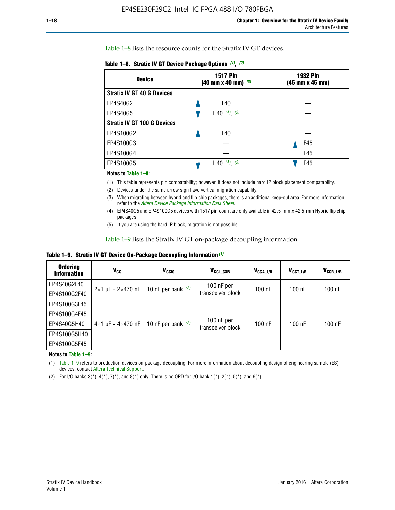Table 1–8 lists the resource counts for the Stratix IV GT devices.

| <b>Device</b>                      | <b>1517 Pin</b><br><b>1932 Pin</b><br>$(40 \text{ mm} \times 40 \text{ mm})$ $(3)$<br>(45 mm x 45 mm) |     |  |
|------------------------------------|-------------------------------------------------------------------------------------------------------|-----|--|
| <b>Stratix IV GT 40 G Devices</b>  |                                                                                                       |     |  |
| EP4S40G2                           | F40                                                                                                   |     |  |
| EP4S40G5                           | H40 $(4)$ , $(5)$                                                                                     |     |  |
| <b>Stratix IV GT 100 G Devices</b> |                                                                                                       |     |  |
| EP4S100G2                          | F40                                                                                                   |     |  |
| EP4S100G3                          |                                                                                                       | F45 |  |
| EP4S100G4                          |                                                                                                       | F45 |  |
| EP4S100G5                          | $(4)$ , $(5)$<br>H40                                                                                  | F45 |  |

#### **Notes to Table 1–8:**

(1) This table represents pin compatability; however, it does not include hard IP block placement compatability.

- (2) Devices under the same arrow sign have vertical migration capability.
- (3) When migrating between hybrid and flip chip packages, there is an additional keep-out area. For more information, refer to the *[Altera Device Package Information Data Sheet](http://www.altera.com/literature/ds/dspkg.pdf)*.
- (4) EP4S40G5 and EP4S100G5 devices with 1517 pin-count are only available in 42.5-mm x 42.5-mm Hybrid flip chip packages.
- (5) If you are using the hard IP block, migration is not possible.

Table 1–9 lists the Stratix IV GT on-package decoupling information.

**Table 1–9. Stratix IV GT Device On-Package Decoupling Information** *(1)*

| <b>Ordering</b><br><b>Information</b> | Vcc                                 | <b>V<sub>CCIO</sub></b> | V <sub>CCL GXB</sub>            | V <sub>CCA L/R</sub> | V <sub>CCT L/R</sub> | V <sub>CCR_L/R</sub> |
|---------------------------------------|-------------------------------------|-------------------------|---------------------------------|----------------------|----------------------|----------------------|
| EP4S40G2F40                           | $2 \times 1$ uF + $2 \times 470$ nF | 10 nF per bank $(2)$    | 100 nF per<br>transceiver block | $100$ nF             | $100$ nF             | $100$ nF             |
| EP4S100G2F40                          |                                     |                         |                                 |                      |                      |                      |
| EP4S100G3F45                          |                                     | 10 nF per bank $(2)$    | 100 nF per<br>transceiver block | $100$ nF             | $100$ nF             | $100$ nF             |
| EP4S100G4F45                          |                                     |                         |                                 |                      |                      |                      |
| EP4S40G5H40                           | $4\times1$ uF + $4\times470$ nF     |                         |                                 |                      |                      |                      |
| EP4S100G5H40                          |                                     |                         |                                 |                      |                      |                      |
| EP4S100G5F45                          |                                     |                         |                                 |                      |                      |                      |

**Notes to Table 1–9:**

(1) Table 1–9 refers to production devices on-package decoupling. For more information about decoupling design of engineering sample (ES) devices, contact [Altera Technical Support](http://mysupport.altera.com/eservice/login.asp).

(2) For I/O banks  $3(*)$ ,  $4(*)$ ,  $7(*)$ , and  $8(*)$  only. There is no OPD for I/O bank  $1(*)$ ,  $2(*)$ ,  $5(*)$ , and  $6(*)$ .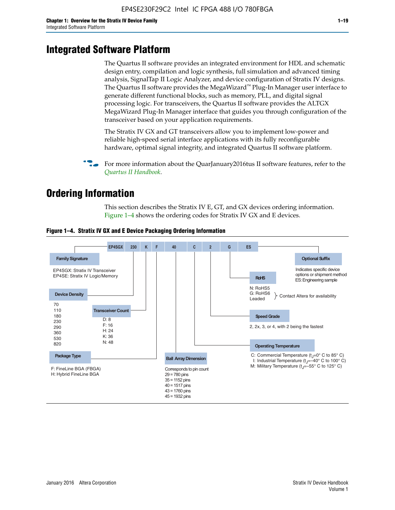# **Integrated Software Platform**

The Quartus II software provides an integrated environment for HDL and schematic design entry, compilation and logic synthesis, full simulation and advanced timing analysis, SignalTap II Logic Analyzer, and device configuration of Stratix IV designs. The Quartus II software provides the MegaWizard<sup> $M$ </sup> Plug-In Manager user interface to generate different functional blocks, such as memory, PLL, and digital signal processing logic. For transceivers, the Quartus II software provides the ALTGX MegaWizard Plug-In Manager interface that guides you through configuration of the transceiver based on your application requirements.

The Stratix IV GX and GT transceivers allow you to implement low-power and reliable high-speed serial interface applications with its fully reconfigurable hardware, optimal signal integrity, and integrated Quartus II software platform.

For more information about the QuarJanuary2016tus II software features, refer to the *[Quartus II Handbook](http://www.altera.com/literature/lit-qts.jsp)*.

# **Ordering Information**

This section describes the Stratix IV E, GT, and GX devices ordering information. Figure 1–4 shows the ordering codes for Stratix IV GX and E devices.



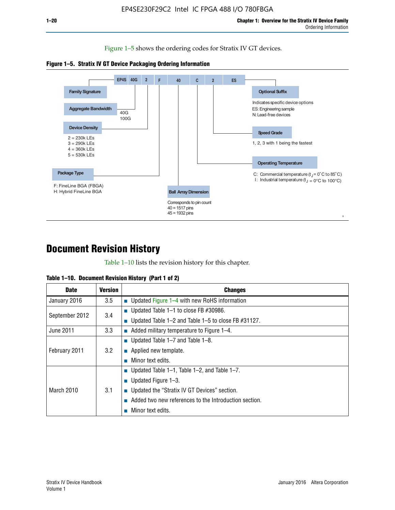Figure 1–5 shows the ordering codes for Stratix IV GT devices.





# **Document Revision History**

Table 1–10 lists the revision history for this chapter.

|  | Table 1–10. Document Revision History (Part 1 of 2) |  |  |
|--|-----------------------------------------------------|--|--|
|--|-----------------------------------------------------|--|--|

| <b>Date</b>       | <b>Version</b> | <b>Changes</b>                                              |
|-------------------|----------------|-------------------------------------------------------------|
| January 2016      | 3.5            | ■ Updated Figure 1–4 with new RoHS information              |
| September 2012    | 3.4            | ■ Updated Table 1–1 to close FB $#30986$ .                  |
|                   |                | Updated Table $1-2$ and Table $1-5$ to close FB $\#31127$ . |
| June 2011         | 3.3            | $\blacksquare$ Added military temperature to Figure 1–4.    |
| February 2011     | 3.2            | ■ Updated Table 1–7 and Table 1–8.                          |
|                   |                | $\blacksquare$ Applied new template.                        |
|                   |                | Minor text edits.                                           |
| <b>March 2010</b> |                | <b>Updated Table 1–1, Table 1–2, and Table 1–7.</b>         |
|                   | 3.1            | <b>U</b> Updated Figure 1–3.                                |
|                   |                | ■ Updated the "Stratix IV GT Devices" section.              |
|                   |                | Added two new references to the Introduction section.       |
|                   |                | Minor text edits.                                           |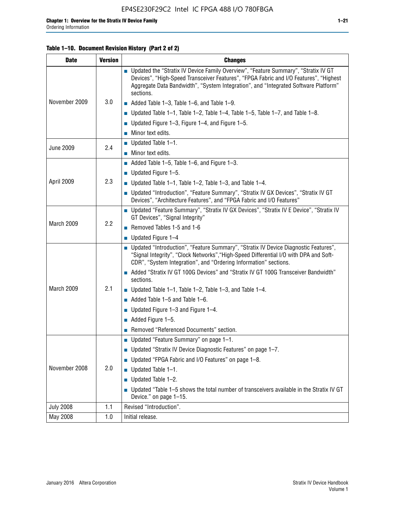## **Table 1–10. Document Revision History (Part 2 of 2)**

| <b>Date</b>      | <b>Version</b> | <b>Changes</b>                                                                                                                                                                                                                                                                    |  |
|------------------|----------------|-----------------------------------------------------------------------------------------------------------------------------------------------------------------------------------------------------------------------------------------------------------------------------------|--|
| November 2009    | 3.0            | ■ Updated the "Stratix IV Device Family Overview", "Feature Summary", "Stratix IV GT<br>Devices", "High-Speed Transceiver Features", "FPGA Fabric and I/O Features", "Highest<br>Aggregate Data Bandwidth", "System Integration", and "Integrated Software Platform"<br>sections. |  |
|                  |                | $\blacksquare$ Added Table 1-3, Table 1-6, and Table 1-9.                                                                                                                                                                                                                         |  |
|                  |                | $\blacksquare$ Updated Table 1-1, Table 1-2, Table 1-4, Table 1-5, Table 1-7, and Table 1-8.                                                                                                                                                                                      |  |
|                  |                | ■ Updated Figure 1–3, Figure 1–4, and Figure 1–5.                                                                                                                                                                                                                                 |  |
|                  |                | $\blacksquare$ Minor text edits.                                                                                                                                                                                                                                                  |  |
| <b>June 2009</b> | 2.4            | $\blacksquare$ Updated Table 1-1.                                                                                                                                                                                                                                                 |  |
|                  |                | Minor text edits.                                                                                                                                                                                                                                                                 |  |
|                  |                | $\blacksquare$ Added Table 1–5, Table 1–6, and Figure 1–3.                                                                                                                                                                                                                        |  |
|                  |                | $\blacksquare$ Updated Figure 1-5.                                                                                                                                                                                                                                                |  |
| April 2009       | 2.3            | Updated Table $1-1$ , Table $1-2$ , Table $1-3$ , and Table $1-4$ .                                                                                                                                                                                                               |  |
|                  |                | ■ Updated "Introduction", "Feature Summary", "Stratix IV GX Devices", "Stratix IV GT<br>Devices", "Architecture Features", and "FPGA Fabric and I/O Features"                                                                                                                     |  |
|                  | 2.2            | ■ Updated "Feature Summary", "Stratix IV GX Devices", "Stratix IV E Device", "Stratix IV<br>GT Devices", "Signal Integrity"                                                                                                                                                       |  |
| March 2009       |                | Removed Tables 1-5 and 1-6                                                                                                                                                                                                                                                        |  |
|                  |                | Updated Figure 1-4                                                                                                                                                                                                                                                                |  |
|                  |                | ■ Updated "Introduction", "Feature Summary", "Stratix IV Device Diagnostic Features",<br>"Signal Integrity", "Clock Networks", "High-Speed Differential I/O with DPA and Soft-<br>CDR", "System Integration", and "Ordering Information" sections.                                |  |
|                  |                | Added "Stratix IV GT 100G Devices" and "Stratix IV GT 100G Transceiver Bandwidth"<br>sections.                                                                                                                                                                                    |  |
| March 2009       | 2.1            | <b>Updated Table 1–1, Table 1–2, Table 1–3, and Table 1–4.</b>                                                                                                                                                                                                                    |  |
|                  |                | $\blacksquare$ Added Table 1-5 and Table 1-6.                                                                                                                                                                                                                                     |  |
|                  |                | ■ Updated Figure $1-3$ and Figure $1-4$ .                                                                                                                                                                                                                                         |  |
|                  |                | $\blacksquare$ Added Figure 1-5.                                                                                                                                                                                                                                                  |  |
|                  |                | Removed "Referenced Documents" section.                                                                                                                                                                                                                                           |  |
| November 2008    |                | Updated "Feature Summary" on page 1-1.                                                                                                                                                                                                                                            |  |
|                  |                | ■ Updated "Stratix IV Device Diagnostic Features" on page 1-7.                                                                                                                                                                                                                    |  |
|                  | 2.0            | Updated "FPGA Fabric and I/O Features" on page 1-8.                                                                                                                                                                                                                               |  |
|                  |                | $\blacksquare$ Updated Table 1-1.                                                                                                                                                                                                                                                 |  |
|                  |                | Updated Table 1-2.                                                                                                                                                                                                                                                                |  |
|                  |                | Updated "Table 1-5 shows the total number of transceivers available in the Stratix IV GT<br>Device." on page 1-15.                                                                                                                                                                |  |
| <b>July 2008</b> | 1.1            | Revised "Introduction".                                                                                                                                                                                                                                                           |  |
| May 2008         | 1.0            | Initial release.                                                                                                                                                                                                                                                                  |  |